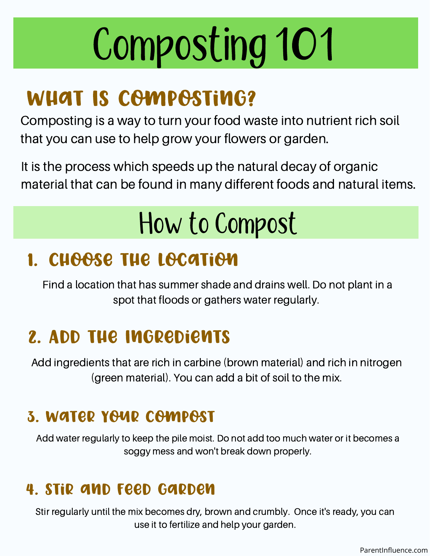# Composting 101

### WHAT IS COMPOSTING?

Composting is a way to turn your food waste into nutrient rich soil that you can use to help grow your flowers or garden.

It is the process which speeds up the natural decay of organic material that can be found in many different foods and natural items.

### How to Compost

#### 1. Choose the Location

Find a location that has summer shade and drains well. Do not plant in a spot that floods or gathers water regularly.

### 2. Add the Ingredients

Add ingredients that are rich in carbine (brown material) and rich in nitrogen (green material). You can add a bit of soil to the mix.

#### 3. Water Your Compost

Add water regularly to keep the pile moist. Do not add too much water or it becomes a soggy mess and won't break down properly.

#### 4. Stir and Feed Garden

Stir regularly until the mix becomes dry, brown and crumbly. Once it's ready, you can use it to fertilize and help your garden.